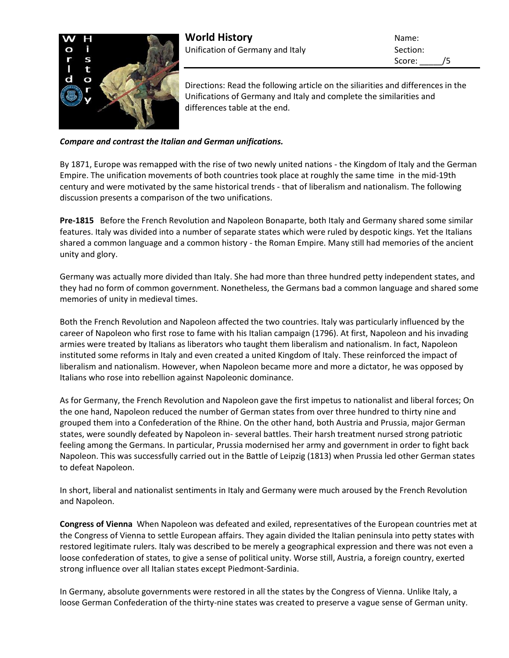

Score: /5

Directions: Read the following article on the siliarities and differences in the Unifications of Germany and Italy and complete the similarities and differences table at the end.

*Compare and contrast the Italian and German unifications.*

By 1871, Europe was remapped with the rise of two newly united nations - the Kingdom of Italy and the German Empire. The unification movements of both countries took place at roughly the same time in the mid-19th century and were motivated by the same historical trends - that of liberalism and nationalism. The following discussion presents a comparison of the two unifications.

**Pre-1815** Before the French Revolution and Napoleon Bonaparte, both Italy and Germany shared some similar features. Italy was divided into a number of separate states which were ruled by despotic kings. Yet the Italians shared a common language and a common history - the Roman Empire. Many still had memories of the ancient unity and glory.

Germany was actually more divided than Italy. She had more than three hundred petty independent states, and they had no form of common government. Nonetheless, the Germans bad a common language and shared some memories of unity in medieval times.

Both the French Revolution and Napoleon affected the two countries. Italy was particularly influenced by the career of Napoleon who first rose to fame with his Italian campaign (1796). At first, Napoleon and his invading armies were treated by Italians as liberators who taught them liberalism and nationalism. In fact, Napoleon instituted some reforms in Italy and even created a united Kingdom of Italy. These reinforced the impact of liberalism and nationalism. However, when Napoleon became more and more a dictator, he was opposed by Italians who rose into rebellion against Napoleonic dominance.

As for Germany, the French Revolution and Napoleon gave the first impetus to nationalist and liberal forces; On the one hand, Napoleon reduced the number of German states from over three hundred to thirty nine and grouped them into a Confederation of the Rhine. On the other hand, both Austria and Prussia, major German states, were soundly defeated by Napoleon in- several battles. Their harsh treatment nursed strong patriotic feeling among the Germans. In particular, Prussia modernised her army and government in order to fight back Napoleon. This was successfully carried out in the Battle of Leipzig (1813) when Prussia led other German states to defeat Napoleon.

In short, liberal and nationalist sentiments in Italy and Germany were much aroused by the French Revolution and Napoleon.

**Congress of Vienna** When Napoleon was defeated and exiled, representatives of the European countries met at the Congress of Vienna to settle European affairs. They again divided the Italian peninsula into petty states with restored legitimate rulers. Italy was described to be merely a geographical expression and there was not even a loose confederation of states, to give a sense of political unity. Worse still, Austria, a foreign country, exerted strong influence over all Italian states except Piedmont-Sardinia.

In Germany, absolute governments were restored in all the states by the Congress of Vienna. Unlike Italy, a loose German Confederation of the thirty-nine states was created to preserve a vague sense of German unity.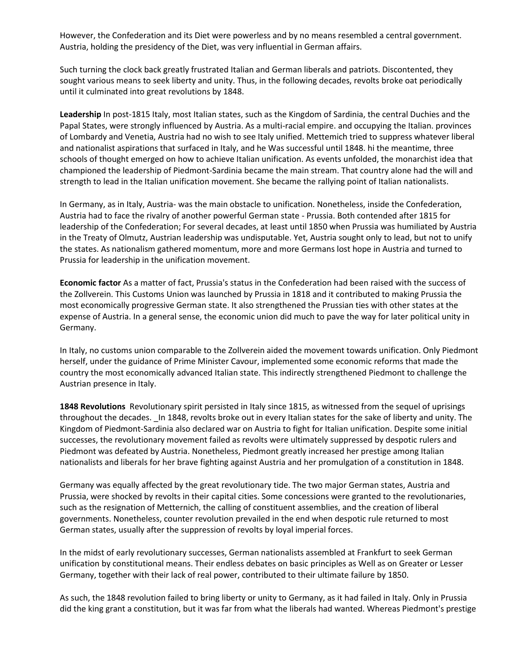However, the Confederation and its Diet were powerless and by no means resembled a central government. Austria, holding the presidency of the Diet, was very influential in German affairs.

Such turning the clock back greatly frustrated Italian and German liberals and patriots. Discontented, they sought various means to seek liberty and unity. Thus, in the following decades, revolts broke oat periodically until it culminated into great revolutions by 1848.

**Leadership** In post-1815 Italy, most Italian states, such as the Kingdom of Sardinia, the central Duchies and the Papal States, were strongly influenced by Austria. As a multi-racial empire. and occupying the Italian. provinces of Lombardy and Venetia, Austria had no wish to see Italy unified. Mettemich tried to suppress whatever liberal and nationalist aspirations that surfaced in Italy, and he Was successful until 1848. hi the meantime, three schools of thought emerged on how to achieve Italian unification. As events unfolded, the monarchist idea that championed the leadership of Piedmont-Sardinia became the main stream. That country alone had the will and strength to lead in the Italian unification movement. She became the rallying point of Italian nationalists.

In Germany, as in Italy, Austria- was the main obstacle to unification. Nonetheless, inside the Confederation, Austria had to face the rivalry of another powerful German state - Prussia. Both contended after 1815 for leadership of the Confederation; For several decades, at least until 1850 when Prussia was humiliated by Austria in the Treaty of Olmutz, Austrian leadership was undisputable. Yet, Austria sought only to lead, but not to unify the states. As nationalism gathered momentum, more and more Germans lost hope in Austria and turned to Prussia for leadership in the unification movement.

**Economic factor** As a matter of fact, Prussia's status in the Confederation had been raised with the success of the Zollverein. This Customs Union was launched by Prussia in 1818 and it contributed to making Prussia the most economically progressive German state. It also strengthened the Prussian ties with other states at the expense of Austria. In a general sense, the economic union did much to pave the way for later political unity in Germany.

In Italy, no customs union comparable to the Zollverein aided the movement towards unification. Only Piedmont herself, under the guidance of Prime Minister Cavour, implemented some economic reforms that made the country the most economically advanced Italian state. This indirectly strengthened Piedmont to challenge the Austrian presence in Italy.

**1848 Revolutions** Revolutionary spirit persisted in Italy since 1815, as witnessed from the sequel of uprisings throughout the decades. \_In 1848, revolts broke out in every Italian states for the sake of liberty and unity. The Kingdom of Piedmont-Sardinia also declared war on Austria to fight for Italian unification. Despite some initial successes, the revolutionary movement failed as revolts were ultimately suppressed by despotic rulers and Piedmont was defeated by Austria. Nonetheless, Piedmont greatly increased her prestige among Italian nationalists and liberals for her brave fighting against Austria and her promulgation of a constitution in 1848.

Germany was equally affected by the great revolutionary tide. The two major German states, Austria and Prussia, were shocked by revolts in their capital cities. Some concessions were granted to the revolutionaries, such as the resignation of Metternich, the calling of constituent assemblies, and the creation of liberal governments. Nonetheless, counter revolution prevailed in the end when despotic rule returned to most German states, usually after the suppression of revolts by loyal imperial forces.

In the midst of early revolutionary successes, German nationalists assembled at Frankfurt to seek German unification by constitutional means. Their endless debates on basic principles as Well as on Greater or Lesser Germany, together with their lack of real power, contributed to their ultimate failure by 1850.

As such, the 1848 revolution failed to bring liberty or unity to Germany, as it had failed in Italy. Only in Prussia did the king grant a constitution, but it was far from what the liberals had wanted. Whereas Piedmont's prestige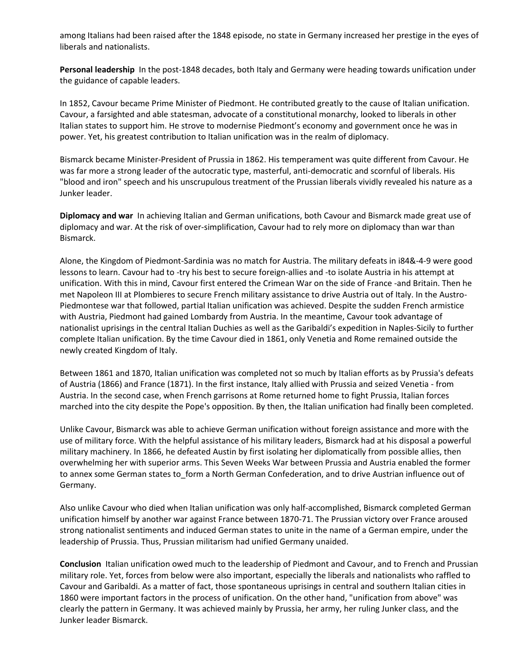among Italians had been raised after the 1848 episode, no state in Germany increased her prestige in the eyes of liberals and nationalists.

**Personal leadership** In the post-1848 decades, both Italy and Germany were heading towards unification under the guidance of capable leaders.

In 1852, Cavour became Prime Minister of Piedmont. He contributed greatly to the cause of Italian unification. Cavour, a farsighted and able statesman, advocate of a constitutional monarchy, looked to liberals in other Italian states to support him. He strove to modernise Piedmont's economy and government once he was in power. Yet, his greatest contribution to Italian unification was in the realm of diplomacy.

Bismarck became Minister-President of Prussia in 1862. His temperament was quite different from Cavour. He was far more a strong leader of the autocratic type, masterful, anti-democratic and scornful of liberals. His "blood and iron" speech and his unscrupulous treatment of the Prussian liberals vividly revealed his nature as a Junker leader.

**Diplomacy and war** In achieving Italian and German unifications, both Cavour and Bismarck made great use of diplomacy and war. At the risk of over-simplification, Cavour had to rely more on diplomacy than war than Bismarck.

Alone, the Kingdom of Piedmont-Sardinia was no match for Austria. The military defeats in i84&-4-9 were good lessons to learn. Cavour had to -try his best to secure foreign-allies and -to isolate Austria in his attempt at unification. With this in mind, Cavour first entered the Crimean War on the side of France -and Britain. Then he met Napoleon III at Plombieres to secure French military assistance to drive Austria out of Italy. In the Austro-Piedmontese war that followed, partial Italian unification was achieved. Despite the sudden French armistice with Austria, Piedmont had gained Lombardy from Austria. In the meantime, Cavour took advantage of nationalist uprisings in the central Italian Duchies as well as the Garibaldi's expedition in Naples-Sicily to further complete Italian unification. By the time Cavour died in 1861, only Venetia and Rome remained outside the newly created Kingdom of Italy.

Between 1861 and 1870, Italian unification was completed not so much by Italian efforts as by Prussia's defeats of Austria (1866) and France (1871). In the first instance, Italy allied with Prussia and seized Venetia - from Austria. In the second case, when French garrisons at Rome returned home to fight Prussia, Italian forces marched into the city despite the Pope's opposition. By then, the Italian unification had finally been completed.

Unlike Cavour, Bismarck was able to achieve German unification without foreign assistance and more with the use of military force. With the helpful assistance of his military leaders, Bismarck had at his disposal a powerful military machinery. In 1866, he defeated Austin by first isolating her diplomatically from possible allies, then overwhelming her with superior arms. This Seven Weeks War between Prussia and Austria enabled the former to annex some German states to form a North German Confederation, and to drive Austrian influence out of Germany.

Also unlike Cavour who died when Italian unification was only half-accomplished, Bismarck completed German unification himself by another war against France between 1870-71. The Prussian victory over France aroused strong nationalist sentiments and induced German states to unite in the name of a German empire, under the leadership of Prussia. Thus, Prussian militarism had unified Germany unaided.

**Conclusion** Italian unification owed much to the leadership of Piedmont and Cavour, and to French and Prussian military role. Yet, forces from below were also important, especially the liberals and nationalists who raffled to Cavour and Garibaldi. As a matter of fact, those spontaneous uprisings in central and southern Italian cities in 1860 were important factors in the process of unification. On the other hand, "unification from above" was clearly the pattern in Germany. It was achieved mainly by Prussia, her army, her ruling Junker class, and the Junker leader Bismarck.